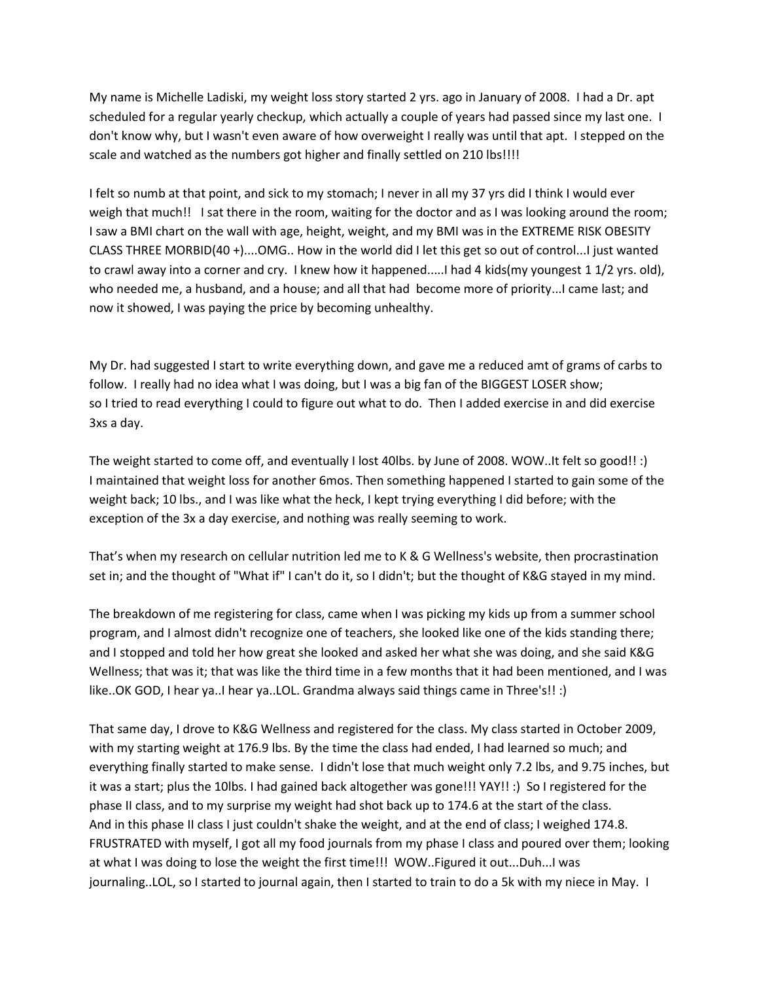My name is Michelle Ladiski, my weight loss story started 2 yrs. ago in January of 2008. I had a Dr. apt scheduled for a regular yearly checkup, which actually a couple of years had passed since my last one. I don't know why, but I wasn't even aware of how overweight I really was until that apt. I stepped on the scale and watched as the numbers got higher and finally settled on 210 lbs!!!!

I felt so numb at that point, and sick to my stomach; I never in all my 37 yrs did I think I would ever weigh that much!! I sat there in the room, waiting for the doctor and as I was looking around the room; I saw a BMI chart on the wall with age, height, weight, and my BMI was in the EXTREME RISK OBESITY CLASS THREE MORBID(40 +)....OMG.. How in the world did I let this get so out of control...I just wanted to crawl away into a corner and cry. I knew how it happened.....I had 4 kids(my youngest 1 1/2 yrs. old), who needed me, a husband, and a house; and all that had become more of priority...I came last; and now it showed, I was paying the price by becoming unhealthy.

My Dr. had suggested I start to write everything down, and gave me a reduced amt of grams of carbs to follow. I really had no idea what I was doing, but I was a big fan of the BIGGEST LOSER show; so I tried to read everything I could to figure out what to do. Then I added exercise in and did exercise 3xs a day.

The weight started to come off, and eventually I lost 40lbs. by June of 2008. WOW..It felt so good!! :) I maintained that weight loss for another 6mos. Then something happened I started to gain some of the weight back; 10 lbs., and I was like what the heck, I kept trying everything I did before; with the exception of the 3x a day exercise, and nothing was really seeming to work.

That's when my research on cellular nutrition led me to K & G Wellness's website, then procrastination set in; and the thought of "What if" I can't do it, so I didn't; but the thought of K&G stayed in my mind.

The breakdown of me registering for class, came when I was picking my kids up from a summer school program, and I almost didn't recognize one of teachers, she looked like one of the kids standing there; and I stopped and told her how great she looked and asked her what she was doing, and she said K&G Wellness; that was it; that was like the third time in a few months that it had been mentioned, and I was like..OK GOD, I hear ya..I hear ya..LOL. Grandma always said things came in Three's!! :)

That same day, I drove to K&G Wellness and registered for the class. My class started in October 2009, with my starting weight at 176.9 lbs. By the time the class had ended, I had learned so much; and everything finally started to make sense. I didn't lose that much weight only 7.2 lbs, and 9.75 inches, but it was a start; plus the 10lbs. I had gained back altogether was gone!!! YAY!! :) So I registered for the phase II class, and to my surprise my weight had shot back up to 174.6 at the start of the class. And in this phase II class I just couldn't shake the weight, and at the end of class; I weighed 174.8. FRUSTRATED with myself, I got all my food journals from my phase I class and poured over them; looking at what I was doing to lose the weight the first time!!! WOW..Figured it out...Duh...I was journaling..LOL, so I started to journal again, then I started to train to do a 5k with my niece in May. I